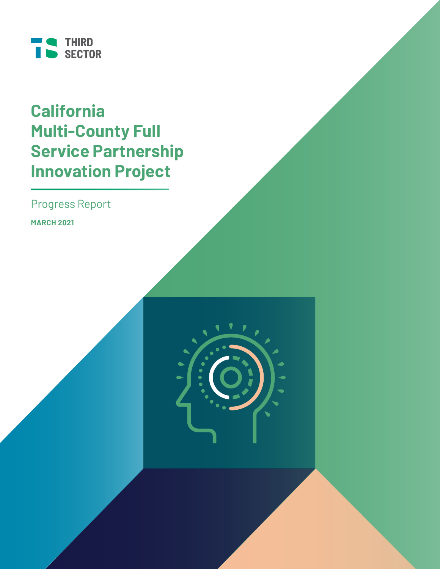

# **California Multi-County Full Service Partnership Innovation Project**

Progress Report

**MARCH 2021**

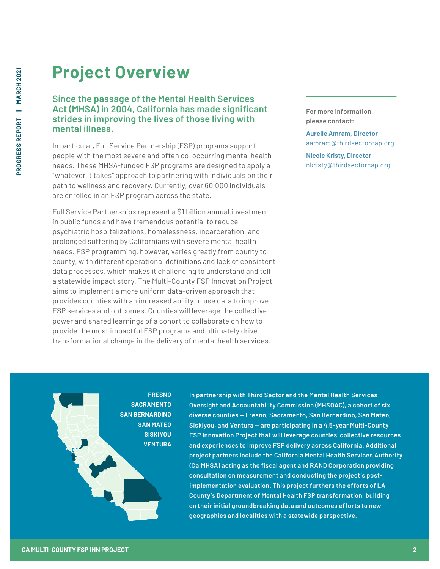# **Project Overview**

### **Since the passage of the Mental Health Services Act (MHSA) in 2004, California has made significant strides in improving the lives of those living with mental illness.**

In particular, Full Service Partnership (FSP) programs support people with the most severe and often co-occurring mental health needs. These MHSA-funded FSP programs are designed to apply a "whatever it takes" approach to partnering with individuals on their path to wellness and recovery. Currently, over 60,000 individuals are enrolled in an FSP program across the state.

Full Service Partnerships represent a \$1 billion annual investment in public funds and have tremendous potential to reduce psychiatric hospitalizations, homelessness, incarceration, and prolonged suffering by Californians with severe mental health needs. FSP programming, however, varies greatly from county to county, with different operational definitions and lack of consistent data processes, which makes it challenging to understand and tell a statewide impact story. The Multi-County FSP Innovation Project aims to implement a more uniform data-driven approach that provides counties with an increased ability to use data to improve FSP services and outcomes. Counties will leverage the collective power and shared learnings of a cohort to collaborate on how to provide the most impactful FSP programs and ultimately drive transformational change in the delivery of mental health services.

**For more information, please contact:**

**Aurelle Amram, Director** aamram@thirdsectorcap.org

**Nicole Kristy, Director** nkristy@thirdsectorcap.org

**FRESNO SACRAMENTO SAN BERNARDINO SAN MATEO SISKIYOU VENTURA**

**In partnership with Third Sector and the Mental Health Services Oversight and Accountability Commission (MHSOAC), a cohort of six diverse counties — Fresno, Sacramento, San Bernardino, San Mateo, Siskiyou, and Ventura — are participating in a 4.5-year Multi-County FSP Innovation Project that will leverage counties' collective resources and experiences to improve FSP delivery across California. Additional project partners include the California Mental Health Services Authority (CalMHSA) acting as the fiscal agent and RAND Corporation providing consultation on measurement and conducting the project's postimplementation evaluation. This project furthers the efforts of LA County's Department of Mental Health FSP transformation, building on their initial groundbreaking data and outcomes efforts to new geographies and localities with a statewide perspective.**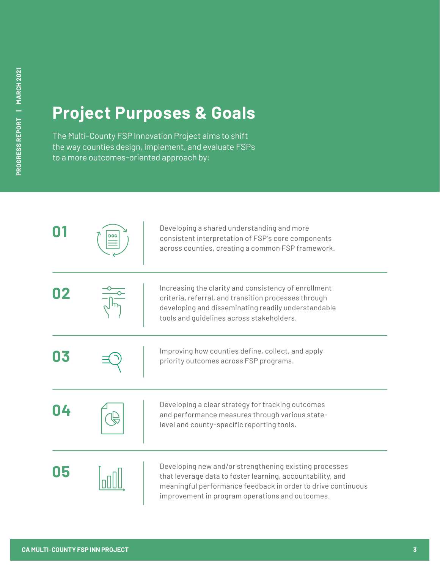# **Project Purposes & Goals**

The Multi-County FSP Innovation Project aims to shift the way counties design, implement, and evaluate FSPs to a more outcomes-oriented approach by:

|    | Developing a shared understanding and more<br>consistent interpretation of FSP's core components<br>across counties, creating a common FSP framework.                                                                                   |
|----|-----------------------------------------------------------------------------------------------------------------------------------------------------------------------------------------------------------------------------------------|
|    | Increasing the clarity and consistency of enrollment<br>criteria, referral, and transition processes through<br>developing and disseminating readily understandable<br>tools and guidelines across stakeholders.                        |
| 03 | Improving how counties define, collect, and apply<br>priority outcomes across FSP programs.                                                                                                                                             |
|    | Developing a clear strategy for tracking outcomes<br>and performance measures through various state-<br>level and county-specific reporting tools.                                                                                      |
|    | Developing new and/or strengthening existing processes<br>that leverage data to foster learning, accountability, and<br>meaningful performance feedback in order to drive continuous<br>improvement in program operations and outcomes. |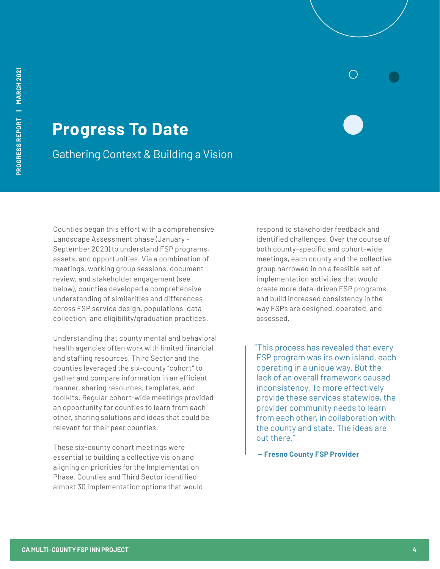# **Progress To Date**

Gathering Context & Building a Vision

Counties began this effort with a comprehensive Landscape Assessment phase (January - September 2020) to understand FSP programs, assets, and opportunities. Via a combination of meetings, working group sessions, document review, and stakeholder engagement (see below), counties developed a comprehensive understanding of similarities and differences across FSP service design, populations, data collection, and eligibility/graduation practices.

Understanding that county mental and behavioral health agencies often work with limited financial and staffing resources, Third Sector and the counties leveraged the six-county "cohort" to gather and compare information in an efficient manner, sharing resources, templates, and toolkits. Regular cohort-wide meetings provided an opportunity for counties to learn from each other, sharing solutions and ideas that could be relevant for their peer counties.

These six-county cohort meetings were essential to building a collective vision and aligning on priorities for the Implementation Phase. Counties and Third Sector identified almost 30 implementation options that would

respond to stakeholder feedback and identified challenges. Over the course of both county-specific and cohort-wide meetings, each county and the collective group narrowed in on a feasible set of implementation activities that would create more data-driven FSP programs and build increased consistency in the way FSPs are designed, operated, and assessed.

"This process has revealed that every FSP program was its own island, each operating in a unique way. But the lack of an overall framework caused inconsistency. To more effectively provide these services statewide, the provider community needs to learn from each other, in collaboration with the county and state. The ideas are out there."

 **— Fresno County FSP Provider**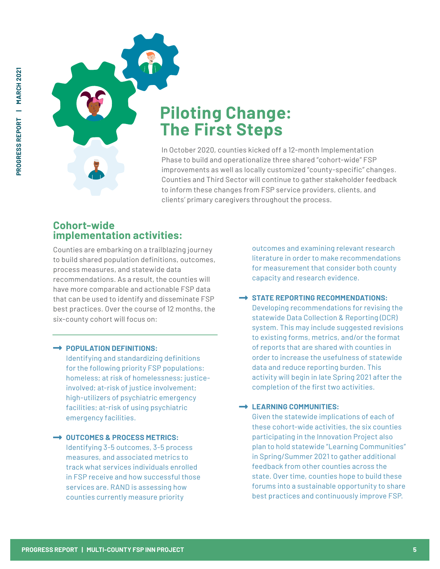

# **Piloting Change: The First Steps**

Phase to build and operationalize three shared "cohort-wide" FSP improvements as well as locally customized "county-specific" changes. Counties and Third Sector will continue to gather stakeholder feedback to inform these changes from FSP service providers, clients, and clients' primary caregivers throughout the process.

# **Cohort-wide implementation activities:**

Counties are embarking on a trailblazing journey to build shared population definitions, outcomes, process measures, and statewide data recommendations. As a result, the counties will have more comparable and actionable FSP data that can be used to identify and disseminate FSP best practices. Over the course of 12 months, the six-county cohort will focus on: **PROGRESS REPORT (2020)**<br> **PROGRESS REPORT (2020)**<br> **PROGRESS REPORT (2020)**<br> **PROGRESS REPORT INTERFECT CONTINUES IN ORDER IN OUTER CONTINUES CONTINUES CONTINUES CONTINUES (<br>
<b>Continues are numbering on a 12-month Impleme** 

### **POPULATION DEFINITIONS:**

Identifying and standardizing definitions for the following priority FSP populations: homeless; at risk of homelessness; justiceinvolved; at-risk of justice involvement; high-utilizers of psychiatric emergency facilities; at-risk of using psychiatric emergency facilities.

### **→ OUTCOMES & PROCESS METRICS:** Identifying 3-5 outcomes, 3-5 process measures, and associated metrics to track what services individuals enrolled in FSP receive and how successful those services are. RAND is assessing how counties currently measure priority

outcomes and examining relevant research literature in order to make recommendations for measurement that consider both county capacity and research evidence.

### **STATE REPORTING RECOMMENDATIONS:**

Developing recommendations for revising the statewide Data Collection & Reporting (DCR) system. This may include suggested revisions to existing forms, metrics, and/or the format of reports that are shared with counties in order to increase the usefulness of statewide data and reduce reporting burden. This activity will begin in late Spring 2021 after the completion of the first two activities.

### **LEARNING COMMUNITIES:**

Given the statewide implications of each of these cohort-wide activities, the six counties participating in the Innovation Project also plan to hold statewide "Learning Communities" in Spring/Summer 2021 to gather additional feedback from other counties across the state. Over time, counties hope to build these forums into a sustainable opportunity to share best practices and continuously improve FSP.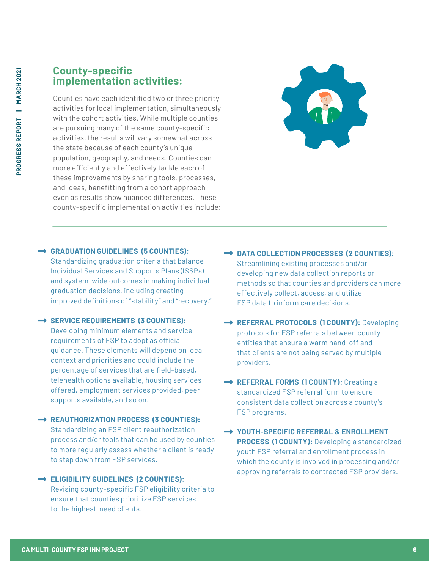### **County-specific implementation activities:**

Counties have each identified two or three priority activities for local implementation, simultaneously with the cohort activities. While multiple counties are pursuing many of the same county-specific activities, the results will vary somewhat across the state because of each county's unique population, geography, and needs. Counties can more efficiently and effectively tackle each of these improvements by sharing tools, processes, and ideas, benefitting from a cohort approach even as results show nuanced differences. These county-specific implementation activities include:



### **GRADUATION GUIDELINES (5 COUNTIES):**

Standardizing graduation criteria that balance Individual Services and Supports Plans (ISSPs) and system-wide outcomes in making individual graduation decisions, including creating improved definitions of "stability" and "recovery."

### **SERVICE REQUIREMENTS (3 COUNTIES):**

Developing minimum elements and service requirements of FSP to adopt as official guidance. These elements will depend on local context and priorities and could include the percentage of services that are field-based, telehealth options available, housing services offered, employment services provided, peer supports available, and so on.

### **REAUTHORIZATION PROCESS (3 COUNTIES):**

Standardizing an FSP client reauthorization process and/or tools that can be used by counties to more regularly assess whether a client is ready to step down from FSP services.

### **ELIGIBILITY GUIDELINES (2 COUNTIES):**

Revising county-specific FSP eligibility criteria to ensure that counties prioritize FSP services to the highest-need clients.

- **DATA COLLECTION PROCESSES (2 COUNTIES):** Streamlining existing processes and/or developing new data collection reports or methods so that counties and providers can more effectively collect, access, and utilize FSP data to inform care decisions.
- **→ REFERRAL PROTOCOLS (1 COUNTY): Developing** protocols for FSP referrals between county entities that ensure a warm hand-off and that clients are not being served by multiple providers.
- **REFERRAL FORMS (1 COUNTY):** Creating a standardized FSP referral form to ensure consistent data collection across a county's FSP programs.
- **YOUTH-SPECIFIC REFERRAL & ENROLLMENT PROCESS (1 COUNTY):** Developing a standardized youth FSP referral and enrollment process in which the county is involved in processing and/or approving referrals to contracted FSP providers.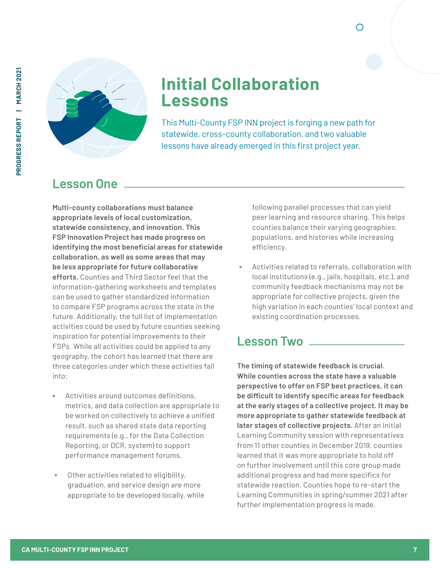

# **Initial Collaboration Lessons**

This Multi-County FSP INN project is forging a new path for statewide, cross-county collaboration, and two valuable lessons have already emerged in this first project year.

# **Lesson One**

**Multi-county collaborations must balance appropriate levels of local customization, statewide consistency, and innovation. This FSP Innovation Project has made progress on identifying the most beneficial areas for statewide collaboration, as well as some areas that may be less appropriate for future collaborative efforts.** Counties and Third Sector feel that the information-gathering worksheets and templates can be used to gather standardized information to compare FSP programs across the state in the future. Additionally, the full list of implementation activities could be used by future counties seeking inspiration for potential improvements to their FSPs. While all activities could be applied to any geography, the cohort has learned that there are three categories under which these activities fall into:

- **•** Activities around outcomes definitions, metrics, and data collection are appropriate to be worked on collectively to achieve a unified result, such as shared state data reporting requirements (e.g., for the Data Collection Reporting, or DCR, system) to support performance management forums.
- **•** Other activities related to eligibility, graduation, and service design are more appropriate to be developed locally, while

following parallel processes that can yield peer learning and resource sharing. This helps counties balance their varying geographies, populations, and histories while increasing efficiency.

∩

**•** Activities related to referrals, collaboration with local institutions (e.g., jails, hospitals, etc.), and community feedback mechanisms may not be appropriate for collective projects, given the high variation in each counties' local context and existing coordination processes.

# **Lesson Two**

**The timing of statewide feedback is crucial. While counties across the state have a valuable perspective to offer on FSP best practices, it can be difficult to identify specific areas for feedback at the early stages of a collective project. It may be more appropriate to gather statewide feedback at later stages of collective projects.** After an initial Learning Community session with representatives from 11 other counties in December 2019, counties learned that it was more appropriate to hold off on further involvement until this core group made additional progress and had more specifics for statewide reaction. Counties hope to re-start the Learning Communities in spring/summer 2021 after further implementation progress is made.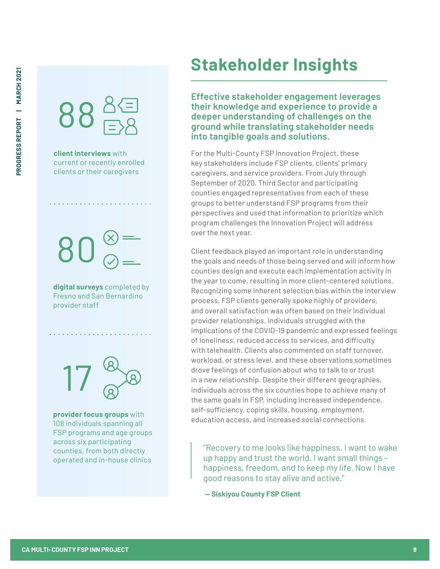

**client interviews** with current or recently enrolled clients or their caregivers

80

**digital surveys** completed by Fresno and San Bernardino provider staff

17

**provider focus groups** with 108 individuals spanning all FSP programs and age groups across six participating counties, from both directly operated and in-house clinics

# **Stakeholder Insights**

**Effective stakeholder engagement leverages their knowledge and experience to provide a deeper understanding of challenges on the ground while translating stakeholder needs into tangible goals and solutions.**

For the Multi-County FSP Innovation Project, these key stakeholders include FSP clients, clients' primary caregivers, and service providers. From July through September of 2020, Third Sector and participating counties engaged representatives from each of these groups to better understand FSP programs from their perspectives and used that information to prioritize which program challenges the Innovation Project will address over the next year.

Client feedback played an important role in understanding the goals and needs of those being served and will inform how counties design and execute each implementation activity in the year to come, resulting in more client-centered solutions. Recognizing some inherent selection bias within the interview process, FSP clients generally spoke highly of providers, and overall satisfaction was often based on their individual provider relationships. Individuals struggled with the implications of the COVID-19 pandemic and expressed feelings of loneliness, reduced access to services, and difficulty with telehealth. Clients also commented on staff turnover, workload, or stress level, and these observations sometimes drove feelings of confusion about who to talk to or trust in a new relationship. Despite their different geographies, individuals across the six counties hope to achieve many of the same goals in FSP, including increased independence, self-sufficiency, coping skills, housing, employment, education access, and increased social connections.

"Recovery to me looks like happiness. I want to wake up happy and trust the world. I want small things – happiness, freedom, and to keep my life. Now I have good reasons to stay alive and active."

**— Siskiyou County FSP Client**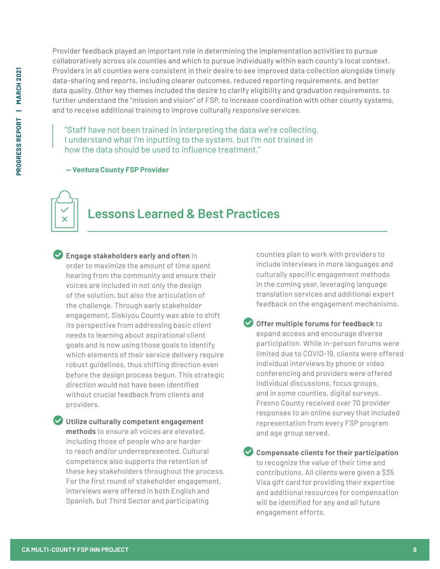Provider feedback played an important role in determining the implementation activities to pursue collaboratively across six counties and which to pursue individually within each county's local context. Providers in all counties were consistent in their desire to see improved data collection alongside timely data-sharing and reports, including clearer outcomes, reduced reporting requirements, and better data quality. Other key themes included the desire to clarify eligibility and graduation requirements, to further understand the "mission and vision" of FSP, to increase coordination with other county systems, and to receive additional training to improve culturally responsive services.

"Staff have not been trained in interpreting the data we're collecting. I understand what I'm inputting to the system, but I'm not trained in how the data should be used to influence treatment."

 **— Ventura County FSP Provider**

# **Lessons Learned & Best Practices**

 **Engage stakeholders early and often** in order to maximize the amount of time spent hearing from the community and ensure their voices are included in not only the design of the solution, but also the articulation of the challenge. Through early stakeholder engagement, Siskiyou County was able to shift its perspective from addressing basic client needs to learning about aspirational client goals and is now using those goals to identify which elements of their service delivery require robust guidelines, thus shifting direction even before the design process begun. This strategic direction would not have been identified without crucial feedback from clients and providers.

 **Utilize culturally competent engagement methods** to ensure all voices are elevated, including those of people who are harder to reach and/or underrepresented. Cultural competence also supports the retention of these key stakeholders throughout the process. For the first round of stakeholder engagement, interviews were offered in both English and Spanish, but Third Sector and participating

counties plan to work with providers to include interviews in more languages and culturally specific engagement methods in the coming year, leveraging language translation services and additional expert feedback on the engagement mechanisms.

 **Offer multiple forums for feedback** to expand access and encourage diverse participation. While in-person forums were limited due to COVID-19, clients were offered individual interviews by phone or video conferencing and providers were offered individual discussions, focus groups, and in some counties, digital surveys. Fresno County received over 70 provider responses to an online survey that included representation from every FSP program and age group served.

 **Compensate clients for their participation** to recognize the value of their time and contributions. All clients were given a \$35 Visa gift card for providing their expertise and additional resources for compensation will be identified for any and all future engagement efforts.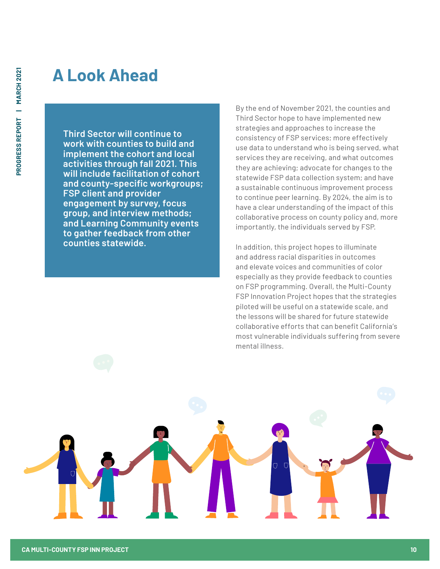# **A Look Ahead**

**Third Sector will continue to work with counties to build and implement the cohort and local activities through fall 2021. This will include facilitation of cohort and county-specific workgroups; FSP client and provider engagement by survey, focus group, and interview methods; and Learning Community events to gather feedback from other counties statewide.**

By the end of November 2021, the counties and Third Sector hope to have implemented new strategies and approaches to increase the consistency of FSP services; more effectively use data to understand who is being served, what services they are receiving, and what outcomes they are achieving; advocate for changes to the statewide FSP data collection system; and have a sustainable continuous improvement process to continue peer learning. By 2024, the aim is to have a clear understanding of the impact of this collaborative process on county policy and, more importantly, the individuals served by FSP.

In addition, this project hopes to illuminate and address racial disparities in outcomes and elevate voices and communities of color especially as they provide feedback to counties on FSP programming. Overall, the Multi-County FSP Innovation Project hopes that the strategies piloted will be useful on a statewide scale, and the lessons will be shared for future statewide collaborative efforts that can benefit California's most vulnerable individuals suffering from severe mental illness.

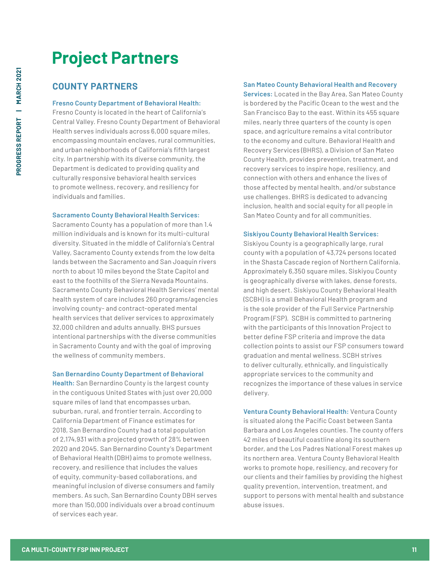# **Project Partners**

## **COUNTY PARTNERS**

#### **Fresno County Department of Behavioral Health:**

Fresno County is located in the heart of California's Central Valley. Fresno County Department of Behavioral Health serves individuals across 6,000 square miles, encompassing mountain enclaves, rural communities, and urban neighborhoods of California's fifth largest city. In partnership with its diverse community, the Department is dedicated to providing quality and culturally responsive behavioral health services to promote wellness, recovery, and resiliency for individuals and families.

#### **Sacramento County Behavioral Health Services:**

Sacramento County has a population of more than 1.4 million individuals and is known for its multi-cultural diversity. Situated in the middle of California's Central Valley, Sacramento County extends from the low delta lands between the Sacramento and San Joaquin rivers north to about 10 miles beyond the State Capitol and east to the foothills of the Sierra Nevada Mountains. Sacramento County Behavioral Health Services' mental health system of care includes 260 programs/agencies involving county- and contract-operated mental health services that deliver services to approximately 32,000 children and adults annually. BHS pursues intentional partnerships with the diverse communities in Sacramento County and with the goal of improving the wellness of community members.

#### **San Bernardino County Department of Behavioral**

**Health:** San Bernardino County is the largest county in the contiguous United States with just over 20,000 square miles of land that encompasses urban, suburban, rural, and frontier terrain. According to California Department of Finance estimates for 2018, San Bernardino County had a total population of 2,174,931 with a projected growth of 28% between 2020 and 2045. San Bernardino County's Department of Behavioral Health (DBH) aims to promote wellness, recovery, and resilience that includes the values of equity, community-based collaborations, and meaningful inclusion of diverse consumers and family members. As such, San Bernardino County DBH serves more than 150,000 individuals over a broad continuum of services each year.

### **San Mateo County Behavioral Health and Recovery**

**Services:** Located in the Bay Area, San Mateo County is bordered by the Pacific Ocean to the west and the San Francisco Bay to the east. Within its 455 square miles, nearly three quarters of the county is open space, and agriculture remains a vital contributor to the economy and culture. Behavioral Health and Recovery Services (BHRS), a Division of San Mateo County Health, provides prevention, treatment, and recovery services to inspire hope, resiliency, and connection with others and enhance the lives of those affected by mental health, and/or substance use challenges. BHRS is dedicated to advancing inclusion, health and social equity for all people in San Mateo County and for all communities.

#### **Siskiyou County Behavioral Health Services:**

Siskiyou County is a geographically large, rural county with a population of 43,724 persons located in the Shasta Cascade region of Northern California. Approximately 6,350 square miles, Siskiyou County is geographically diverse with lakes, dense forests, and high desert. Siskiyou County Behavioral Health (SCBH) is a small Behavioral Health program and is the sole provider of the Full Service Partnership Program (FSP). SCBH is committed to partnering with the participants of this Innovation Project to better define FSP criteria and improve the data collection points to assist our FSP consumers toward graduation and mental wellness. SCBH strives to deliver culturally, ethnically, and linguistically appropriate services to the community and recognizes the importance of these values in service delivery.

**Ventura County Behavioral Health:** Ventura County is situated along the Pacific Coast between Santa Barbara and Los Angeles counties. The county offers 42 miles of beautiful coastline along its southern border, and the Los Padres National Forest makes up its northern area. Ventura County Behavioral Health works to promote hope, resiliency, and recovery for our clients and their families by providing the highest quality prevention, intervention, treatment, and support to persons with mental health and substance abuse issues.